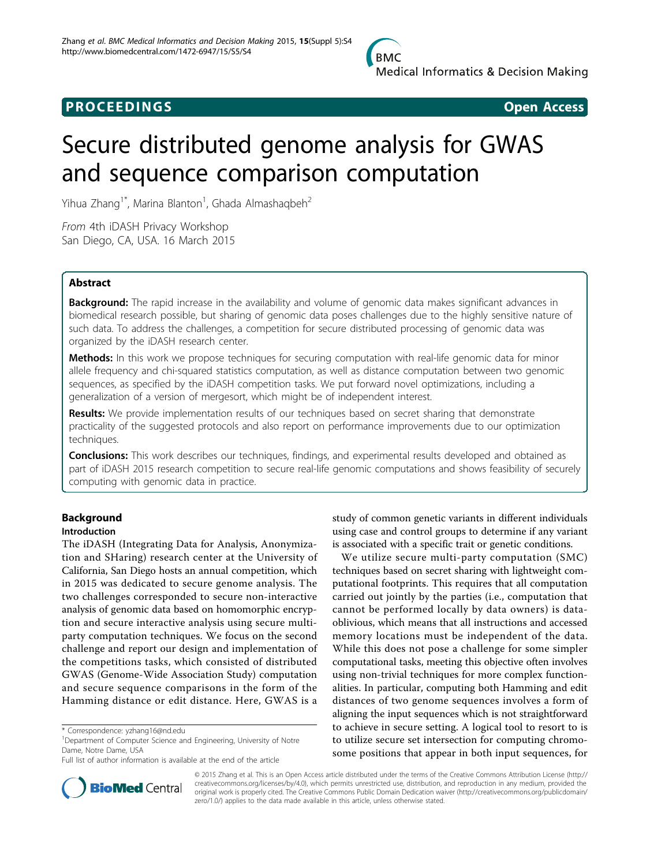# **PROCEEDINGS STATES CONSUMING S** Open Access

# Secure distributed genome analysis for GWAS and sequence comparison computation

Yihua Zhang<sup>1\*</sup>, Marina Blanton<sup>1</sup>, Ghada Almashaqbeh<sup>2</sup>

From 4th iDASH Privacy Workshop San Diego, CA, USA. 16 March 2015

## Abstract

**Background:** The rapid increase in the availability and volume of genomic data makes significant advances in biomedical research possible, but sharing of genomic data poses challenges due to the highly sensitive nature of such data. To address the challenges, a competition for secure distributed processing of genomic data was organized by the iDASH research center.

Methods: In this work we propose techniques for securing computation with real-life genomic data for minor allele frequency and chi-squared statistics computation, as well as distance computation between two genomic sequences, as specified by the iDASH competition tasks. We put forward novel optimizations, including a generalization of a version of mergesort, which might be of independent interest.

Results: We provide implementation results of our techniques based on secret sharing that demonstrate practicality of the suggested protocols and also report on performance improvements due to our optimization techniques.

**Conclusions:** This work describes our techniques, findings, and experimental results developed and obtained as part of iDASH 2015 research competition to secure real-life genomic computations and shows feasibility of securely computing with genomic data in practice.

# Background

#### Introduction

The iDASH (Integrating Data for Analysis, Anonymization and SHaring) research center at the University of California, San Diego hosts an annual competition, which in 2015 was dedicated to secure genome analysis. The two challenges corresponded to secure non-interactive analysis of genomic data based on homomorphic encryption and secure interactive analysis using secure multiparty computation techniques. We focus on the second challenge and report our design and implementation of the competitions tasks, which consisted of distributed GWAS (Genome-Wide Association Study) computation and secure sequence comparisons in the form of the Hamming distance or edit distance. Here, GWAS is a

study of common genetic variants in different individuals using case and control groups to determine if any variant is associated with a specific trait or genetic conditions.

We utilize secure multi-party computation (SMC) techniques based on secret sharing with lightweight computational footprints. This requires that all computation carried out jointly by the parties (i.e., computation that cannot be performed locally by data owners) is dataoblivious, which means that all instructions and accessed memory locations must be independent of the data. While this does not pose a challenge for some simpler computational tasks, meeting this objective often involves using non-trivial techniques for more complex functionalities. In particular, computing both Hamming and edit distances of two genome sequences involves a form of aligning the input sequences which is not straightforward to achieve in secure setting. A logical tool to resort to is to utilize secure set intersection for computing chromosome positions that appear in both input sequences, for



© 2015 Zhang et al. This is an Open Access article distributed under the terms of the Creative Commons Attribution License [\(http://](http://creativecommons.org/licenses/by/4.0) [creativecommons.org/licenses/by/4.0](http://creativecommons.org/licenses/by/4.0)), which permits unrestricted use, distribution, and reproduction in any medium, provided the original work is properly cited. The Creative Commons Public Domain Dedication waiver ([http://creativecommons.org/publicdomain/](http://creativecommons.org/publicdomain/zero/1.0/) [zero/1.0/](http://creativecommons.org/publicdomain/zero/1.0/)) applies to the data made available in this article, unless otherwise stated.

<sup>\*</sup> Correspondence: [yzhang16@nd.edu](mailto:yzhang16@nd.edu)

<sup>&</sup>lt;sup>1</sup>Department of Computer Science and Engineering, University of Notre Dame, Notre Dame, USA

Full list of author information is available at the end of the article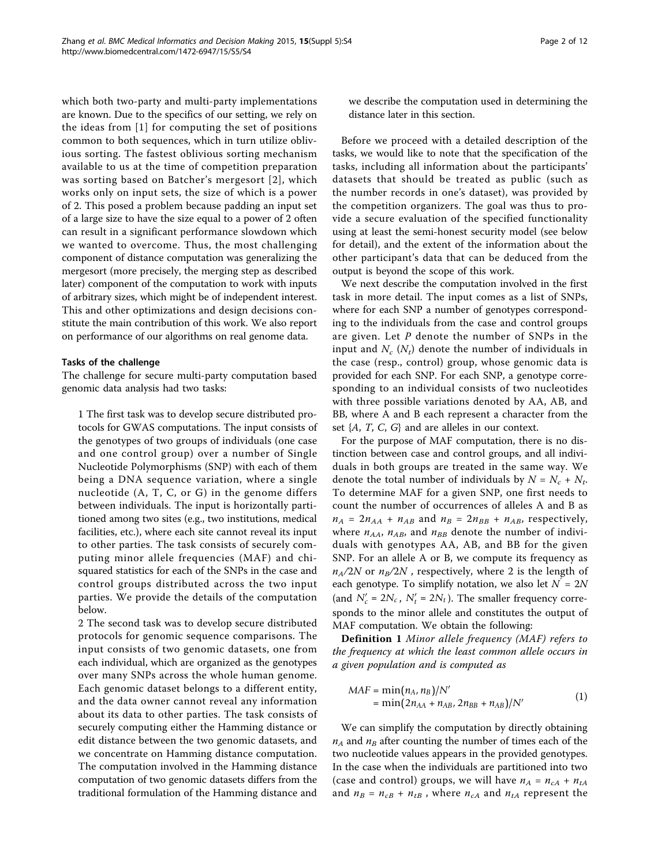which both two-party and multi-party implementations are known. Due to the specifics of our setting, we rely on the ideas from [[1\]](#page-11-0) for computing the set of positions common to both sequences, which in turn utilize oblivious sorting. The fastest oblivious sorting mechanism available to us at the time of competition preparation was sorting based on Batcher's mergesort [[2\]](#page-11-0), which works only on input sets, the size of which is a power of 2. This posed a problem because padding an input set of a large size to have the size equal to a power of 2 often can result in a significant performance slowdown which we wanted to overcome. Thus, the most challenging component of distance computation was generalizing the mergesort (more precisely, the merging step as described later) component of the computation to work with inputs of arbitrary sizes, which might be of independent interest. This and other optimizations and design decisions constitute the main contribution of this work. We also report on performance of our algorithms on real genome data.

#### Tasks of the challenge

The challenge for secure multi-party computation based genomic data analysis had two tasks:

1 The first task was to develop secure distributed protocols for GWAS computations. The input consists of the genotypes of two groups of individuals (one case and one control group) over a number of Single Nucleotide Polymorphisms (SNP) with each of them being a DNA sequence variation, where a single nucleotide (A, T, C, or G) in the genome differs between individuals. The input is horizontally partitioned among two sites (e.g., two institutions, medical facilities, etc.), where each site cannot reveal its input to other parties. The task consists of securely computing minor allele frequencies (MAF) and chisquared statistics for each of the SNPs in the case and control groups distributed across the two input parties. We provide the details of the computation below.

2 The second task was to develop secure distributed protocols for genomic sequence comparisons. The input consists of two genomic datasets, one from each individual, which are organized as the genotypes over many SNPs across the whole human genome. Each genomic dataset belongs to a different entity, and the data owner cannot reveal any information about its data to other parties. The task consists of securely computing either the Hamming distance or edit distance between the two genomic datasets, and we concentrate on Hamming distance computation. The computation involved in the Hamming distance computation of two genomic datasets differs from the traditional formulation of the Hamming distance and

we describe the computation used in determining the distance later in this section.

Before we proceed with a detailed description of the tasks, we would like to note that the specification of the tasks, including all information about the participants' datasets that should be treated as public (such as the number records in one's dataset), was provided by the competition organizers. The goal was thus to provide a secure evaluation of the specified functionality using at least the semi-honest security model (see below for detail), and the extent of the information about the other participant's data that can be deduced from the output is beyond the scope of this work.

We next describe the computation involved in the first task in more detail. The input comes as a list of SNPs, where for each SNP a number of genotypes corresponding to the individuals from the case and control groups are given. Let  $P$  denote the number of SNPs in the input and  $N_c$  ( $N_t$ ) denote the number of individuals in the case (resp., control) group, whose genomic data is provided for each SNP. For each SNP, a genotype corresponding to an individual consists of two nucleotides with three possible variations denoted by AA, AB, and BB, where A and B each represent a character from the set  $\{A, T, C, G\}$  and are alleles in our context.

For the purpose of MAF computation, there is no distinction between case and control groups, and all individuals in both groups are treated in the same way. We denote the total number of individuals by  $N = N_c + N_t$ . To determine MAF for a given SNP, one first needs to count the number of occurrences of alleles A and B as  $n_A$  = 2n<sub>AA</sub> + n<sub>AB</sub> and n<sub>B</sub> = 2n<sub>BB</sub> + n<sub>AB</sub>, respectively, where  $n_{AA}$ ,  $n_{AB}$ , and  $n_{BB}$  denote the number of individuals with genotypes AA, AB, and BB for the given SNP. For an allele A or B, we compute its frequency as  $n_A/2N$  or  $n_B/2N$ , respectively, where 2 is the length of each genotype. To simplify notation, we also let  $N = 2N$ (and  $N'_c = 2N_c$ ,  $N'_t = 2N_t$ ). The smaller frequency corresponds to the minor allele and constitutes the output of MAF computation. We obtain the following:

Definition 1 Minor allele frequency (MAF) refers to the frequency at which the least common allele occurs in a given population and is computed as

$$
MAF = \min(n_A, n_B)/N'
$$
  
=  $\min(2n_{AA} + n_{AB}, 2n_{BB} + n_{AB})/N'$  (1)

We can simplify the computation by directly obtaining  $n_A$  and  $n_B$  after counting the number of times each of the two nucleotide values appears in the provided genotypes. In the case when the individuals are partitioned into two (case and control) groups, we will have  $n_A = n_{cA} + n_{tA}$ and  $n_B = n_{cB} + n_{tB}$ , where  $n_{cA}$  and  $n_{tA}$  represent the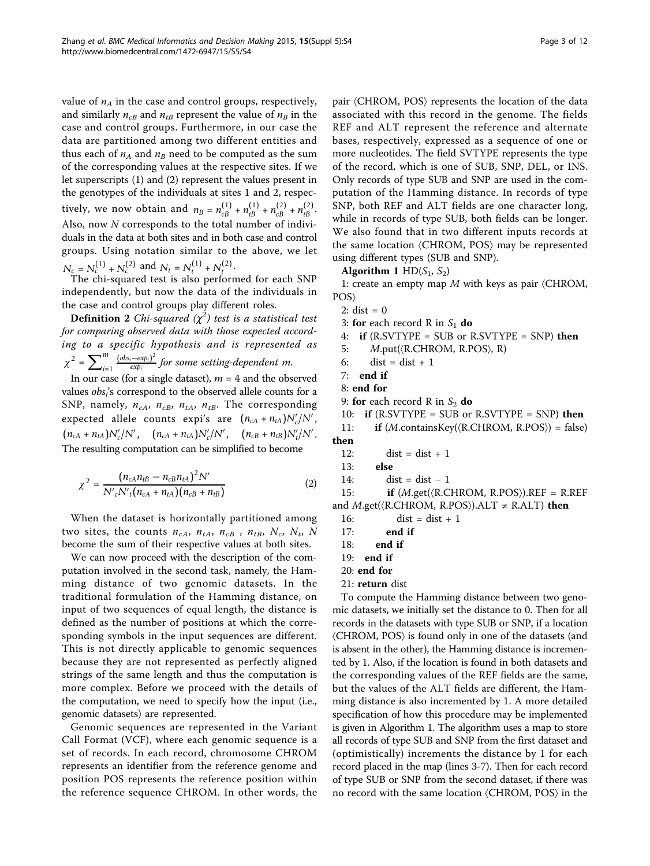value of  $n_A$  in the case and control groups, respectively, and similarly  $n_{cB}$  and  $n_{tB}$  represent the value of  $n_B$  in the case and control groups. Furthermore, in our case the data are partitioned among two different entities and thus each of  $n_A$  and  $n_B$  need to be computed as the sum of the corresponding values at the respective sites. If we let superscripts (1) and (2) represent the values present in the genotypes of the individuals at sites 1 and 2, respectively, we now obtain and  $n_B = n_{cB}^{(1)} + n_{tB}^{(1)} + n_{cB}^{(2)} + n_{tB}^{(2)}$ . Also, now N corresponds to the total number of individuals in the data at both sites and in both case and control groups. Using notation similar to the above, we let  $N_c = N_c^{(1)} + N_c^{(2)}$  and  $N_t = N_t^{(1)} + N_t^{(2)}$ .

The chi-squared test is also performed for each SNP independently, but now the data of the individuals in the case and control groups play different roles.

**Definition 2** Chi-squared  $(\chi^2)$  test is a statistical test for comparing observed data with those expected according to a specific hypothesis and is represented as  $\chi^2 = \sum_{i=1}^m$ *i*=1 (*obsi*−*expi*) 2 *expi* for some setting-dependent m.

In our case (for a single dataset),  $m = 4$  and the observed values  $obs_i$ 's correspond to the observed allele counts for a SNP, namely,  $n_{cA}$ ,  $n_{cB}$ ,  $n_{tA}$ ,  $n_{tB}$ . The corresponding  $\epsilon$  expected allele counts  $\epsilon$  are  $(n_{cA} + n_{tA})N_c'/N'$ ,  $(n_{cA} + n_{tA})N_c'/N'$ ,  $(n_{cA} + n_{tA})N_c'/N'$ ,  $(n_{cB} + n_{tB})N_t'/N'$ . The resulting computation can be simplified to become

$$
\chi^2 = \frac{(n_{cA}n_{tB} - n_{cB}n_{tA})^2 N'}{N'_{c}N'_{t}(n_{cA} + n_{tA})(n_{cB} + n_{tB})}
$$
(2)

When the dataset is horizontally partitioned among two sites, the counts  $n_{cA}$ ,  $n_{tA}$ ,  $n_{cB}$ ,  $n_{tB}$ ,  $N_c$ ,  $N_t$ , N become the sum of their respective values at both sites.

We can now proceed with the description of the computation involved in the second task, namely, the Hamming distance of two genomic datasets. In the traditional formulation of the Hamming distance, on input of two sequences of equal length, the distance is defined as the number of positions at which the corresponding symbols in the input sequences are different. This is not directly applicable to genomic sequences because they are not represented as perfectly aligned strings of the same length and thus the computation is more complex. Before we proceed with the details of the computation, we need to specify how the input (i.e., genomic datasets) are represented.

Genomic sequences are represented in the Variant Call Format (VCF), where each genomic sequence is a set of records. In each record, chromosome CHROM represents an identifier from the reference genome and position POS represents the reference position within the reference sequence CHROM. In other words, the pair  $\langle$ CHROM, POS $\rangle$  represents the location of the data associated with this record in the genome. The fields REF and ALT represent the reference and alternate bases, respectively, expressed as a sequence of one or more nucleotides. The field SVTYPE represents the type of the record, which is one of SUB, SNP, DEL, or INS. Only records of type SUB and SNP are used in the computation of the Hamming distance. In records of type SNP, both REF and ALT fields are one character long, while in records of type SUB, both fields can be longer. We also found that in two different inputs records at the same location 〈CHROM, POS〉 may be represented using different types (SUB and SNP).

Algorithm 1  $HD(S_1, S_2)$ 

1: create an empty map  $M$  with keys as pair  $\langle$ CHROM, POS〉

 $2: dist = 0$ 3: for each record R in  $S_1$  do 4: if (R.SVTYPE = SUB or R.SVTYPE = SNP) then 5:  $M.\text{put}(\langle R.CHROM, R.POS \rangle, R)$ 6: dist = dist + 1 7: end if 8: end for 9: for each record R in  $S_2$  do 10: if (R.SVTYPE = SUB or R.SVTYPE = SNP) then 11: **if**  $(M.\text{containsKey}(\langle R.\text{CHROM}, R.\text{POS}\rangle) = \text{false})$ then 12: dist = dist + 1 13: else 14: dist = dist  $-1$ 15: **if**  $(M.get(\langle R.CHROM, R.POS \rangle).REF = R.REF$ and  $M.get(\langle R.CHROM, R.POS \rangle)$ .ALT  $\neq$  R.ALT) then 16: dist = dist + 1 17: end if 18: end if 19: end if 20: end for 21: return dist

To compute the Hamming distance between two genomic datasets, we initially set the distance to 0. Then for all records in the datasets with type SUB or SNP, if a location 〈CHROM, POS〉 is found only in one of the datasets (and is absent in the other), the Hamming distance is incremented by 1. Also, if the location is found in both datasets and the corresponding values of the REF fields are the same, but the values of the ALT fields are different, the Hamming distance is also incremented by 1. A more detailed specification of how this procedure may be implemented is given in Algorithm 1. The algorithm uses a map to store all records of type SUB and SNP from the first dataset and (optimistically) increments the distance by 1 for each record placed in the map (lines 3-7). Then for each record of type SUB or SNP from the second dataset, if there was no record with the same location  $\langle$ CHROM, POS $\rangle$  in the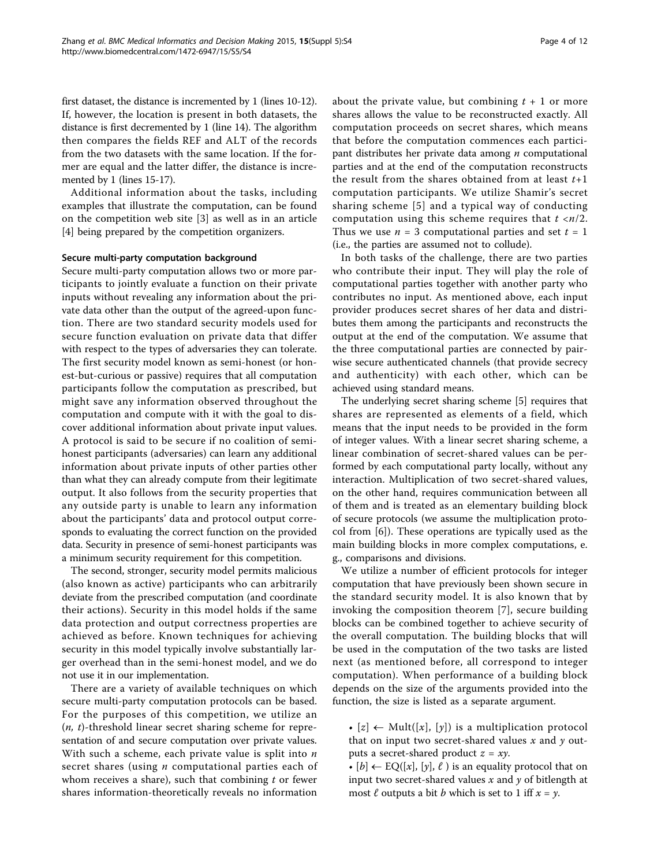first dataset, the distance is incremented by 1 (lines 10-12). If, however, the location is present in both datasets, the distance is first decremented by 1 (line 14). The algorithm then compares the fields REF and ALT of the records from the two datasets with the same location. If the former are equal and the latter differ, the distance is incremented by 1 (lines 15-17).

Additional information about the tasks, including examples that illustrate the computation, can be found on the competition web site [\[3](#page-11-0)] as well as in an article [[4\]](#page-11-0) being prepared by the competition organizers.

#### Secure multi-party computation background

Secure multi-party computation allows two or more participants to jointly evaluate a function on their private inputs without revealing any information about the private data other than the output of the agreed-upon function. There are two standard security models used for secure function evaluation on private data that differ with respect to the types of adversaries they can tolerate. The first security model known as semi-honest (or honest-but-curious or passive) requires that all computation participants follow the computation as prescribed, but might save any information observed throughout the computation and compute with it with the goal to discover additional information about private input values. A protocol is said to be secure if no coalition of semihonest participants (adversaries) can learn any additional information about private inputs of other parties other than what they can already compute from their legitimate output. It also follows from the security properties that any outside party is unable to learn any information about the participants' data and protocol output corresponds to evaluating the correct function on the provided data. Security in presence of semi-honest participants was a minimum security requirement for this competition.

The second, stronger, security model permits malicious (also known as active) participants who can arbitrarily deviate from the prescribed computation (and coordinate their actions). Security in this model holds if the same data protection and output correctness properties are achieved as before. Known techniques for achieving security in this model typically involve substantially larger overhead than in the semi-honest model, and we do not use it in our implementation.

There are a variety of available techniques on which secure multi-party computation protocols can be based. For the purposes of this competition, we utilize an  $(n, t)$ -threshold linear secret sharing scheme for representation of and secure computation over private values. With such a scheme, each private value is split into  $n$ secret shares (using *n* computational parties each of whom receives a share), such that combining  $t$  or fewer shares information-theoretically reveals no information about the private value, but combining  $t + 1$  or more shares allows the value to be reconstructed exactly. All computation proceeds on secret shares, which means that before the computation commences each participant distributes her private data among  $n$  computational parties and at the end of the computation reconstructs the result from the shares obtained from at least  $t+1$ computation participants. We utilize Shamir's secret sharing scheme [\[5\]](#page-11-0) and a typical way of conducting computation using this scheme requires that  $t \leq n/2$ . Thus we use  $n = 3$  computational parties and set  $t = 1$ (i.e., the parties are assumed not to collude).

In both tasks of the challenge, there are two parties who contribute their input. They will play the role of computational parties together with another party who contributes no input. As mentioned above, each input provider produces secret shares of her data and distributes them among the participants and reconstructs the output at the end of the computation. We assume that the three computational parties are connected by pairwise secure authenticated channels (that provide secrecy and authenticity) with each other, which can be achieved using standard means.

The underlying secret sharing scheme [\[5](#page-11-0)] requires that shares are represented as elements of a field, which means that the input needs to be provided in the form of integer values. With a linear secret sharing scheme, a linear combination of secret-shared values can be performed by each computational party locally, without any interaction. Multiplication of two secret-shared values, on the other hand, requires communication between all of them and is treated as an elementary building block of secure protocols (we assume the multiplication protocol from [[6\]](#page-11-0)). These operations are typically used as the main building blocks in more complex computations, e. g., comparisons and divisions.

We utilize a number of efficient protocols for integer computation that have previously been shown secure in the standard security model. It is also known that by invoking the composition theorem [\[7\]](#page-11-0), secure building blocks can be combined together to achieve security of the overall computation. The building blocks that will be used in the computation of the two tasks are listed next (as mentioned before, all correspond to integer computation). When performance of a building block depends on the size of the arguments provided into the function, the size is listed as a separate argument.

•  $[z] \leftarrow \text{Mult}([x], [y])$  is a multiplication protocol that on input two secret-shared values  $x$  and  $y$  outputs a secret-shared product  $z = xy$ .

• [b]  $\leftarrow$  EQ([x], [y],  $\ell$ ) is an equality protocol that on input two secret-shared values  $x$  and  $y$  of bitlength at most  $\ell$  outputs a bit  $b$  which is set to 1 iff  $x = y$ .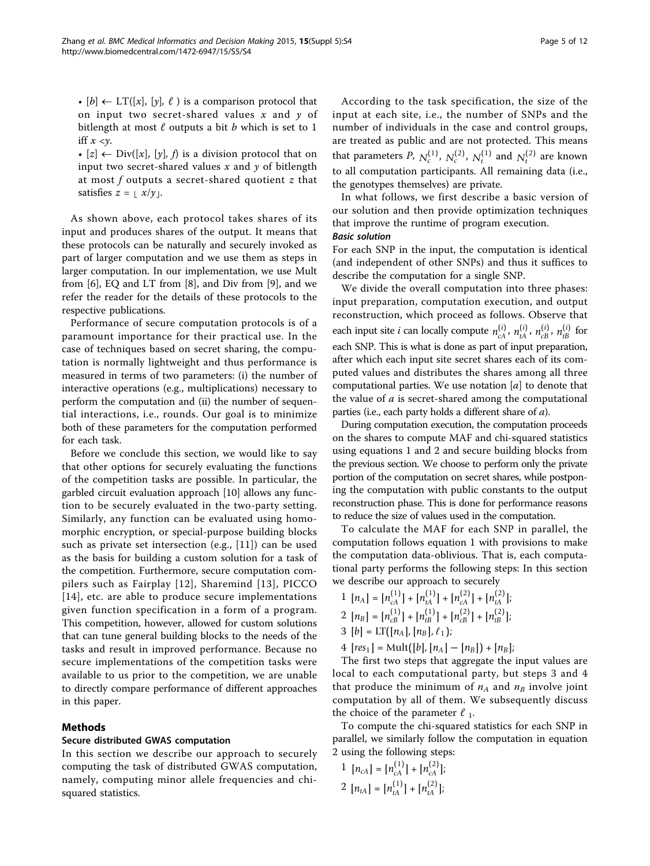•  $[b] \leftarrow LT([x], [y], \ell)$  is a comparison protocol that on input two secret-shared values  $x$  and  $y$  of bitlength at most  $\ell$  outputs a bit  $b$  which is set to 1 iff  $x < y$ .

•  $[z] \leftarrow Div([x], [y], f)$  is a division protocol that on input two secret-shared values  $x$  and  $y$  of bitlength at most f outputs a secret-shared quotient z that satisfies  $z = \lfloor x/y \rfloor$ .

As shown above, each protocol takes shares of its input and produces shares of the output. It means that these protocols can be naturally and securely invoked as part of larger computation and we use them as steps in larger computation. In our implementation, we use Mult from [[6\]](#page-11-0), EQ and LT from [\[8](#page-11-0)], and Div from [[9\]](#page-11-0), and we refer the reader for the details of these protocols to the respective publications.

Performance of secure computation protocols is of a paramount importance for their practical use. In the case of techniques based on secret sharing, the computation is normally lightweight and thus performance is measured in terms of two parameters: (i) the number of interactive operations (e.g., multiplications) necessary to perform the computation and (ii) the number of sequential interactions, i.e., rounds. Our goal is to minimize both of these parameters for the computation performed for each task.

Before we conclude this section, we would like to say that other options for securely evaluating the functions of the competition tasks are possible. In particular, the garbled circuit evaluation approach [\[10](#page-11-0)] allows any function to be securely evaluated in the two-party setting. Similarly, any function can be evaluated using homomorphic encryption, or special-purpose building blocks such as private set intersection (e.g., [[11\]](#page-11-0)) can be used as the basis for building a custom solution for a task of the competition. Furthermore, secure computation compilers such as Fairplay [[12\]](#page-11-0), Sharemind [[13\]](#page-11-0), PICCO [[14](#page-11-0)], etc. are able to produce secure implementations given function specification in a form of a program. This competition, however, allowed for custom solutions that can tune general building blocks to the needs of the tasks and result in improved performance. Because no secure implementations of the competition tasks were available to us prior to the competition, we are unable to directly compare performance of different approaches in this paper.

#### Methods

#### Secure distributed GWAS computation

In this section we describe our approach to securely computing the task of distributed GWAS computation, namely, computing minor allele frequencies and chisquared statistics.

According to the task specification, the size of the input at each site, i.e., the number of SNPs and the number of individuals in the case and control groups, are treated as public and are not protected. This means that parameters P,  $N_c^{(1)}$ ,  $N_c^{(2)}$ ,  $N_t^{(1)}$  and  $N_t^{(2)}$  are known to all computation participants. All remaining data (i.e., the genotypes themselves) are private.

In what follows, we first describe a basic version of our solution and then provide optimization techniques that improve the runtime of program execution.

#### Basic solution

For each SNP in the input, the computation is identical (and independent of other SNPs) and thus it suffices to describe the computation for a single SNP.

We divide the overall computation into three phases: input preparation, computation execution, and output reconstruction, which proceed as follows. Observe that each input site *i* can locally compute  $n_{cA}^{(i)}$ ,  $n_{tA}^{(i)}$ ,  $n_{cB}^{(i)}$ ,  $n_{tB}^{(i)}$  for each SNP. This is what is done as part of input preparation, after which each input site secret shares each of its computed values and distributes the shares among all three computational parties. We use notation  $[a]$  to denote that the value of  $a$  is secret-shared among the computational parties (i.e., each party holds a different share of a).

During computation execution, the computation proceeds on the shares to compute MAF and chi-squared statistics using equations 1 and 2 and secure building blocks from the previous section. We choose to perform only the private portion of the computation on secret shares, while postponing the computation with public constants to the output reconstruction phase. This is done for performance reasons to reduce the size of values used in the computation.

To calculate the MAF for each SNP in parallel, the computation follows equation 1 with provisions to make the computation data-oblivious. That is, each computational party performs the following steps: In this section we describe our approach to securely

- 1  $[n_A] = [n_{cA}^{(1)}] + [n_{tA}^{(1)}] + [n_{cA}^{(2)}] + [n_{tA}^{(2)}];$ 2  $[n_B] = [n_{cB}^{(1)}] + [n_{tB}^{(1)}] + [n_{cB}^{(2)}] + [n_{tB}^{(2)}];$
- 3  $[b] = LT([n_A], [n_B], \ell_1);$
- 4  $[res_1] = Mult([b], [n_A] [n_B]) + [n_B];$

The first two steps that aggregate the input values are local to each computational party, but steps 3 and 4 that produce the minimum of  $n_A$  and  $n_B$  involve joint computation by all of them. We subsequently discuss the choice of the parameter  $\ell_1$ .

To compute the chi-squared statistics for each SNP in parallel, we similarly follow the computation in equation 2 using the following steps:

$$
1 [n_{cA}] = [n_{cA}^{(1)}] + [n_{cA}^{(2)}];
$$
  

$$
2 [n_{tA}] = [n_{tA}^{(1)}] + [n_{tA}^{(2)}];
$$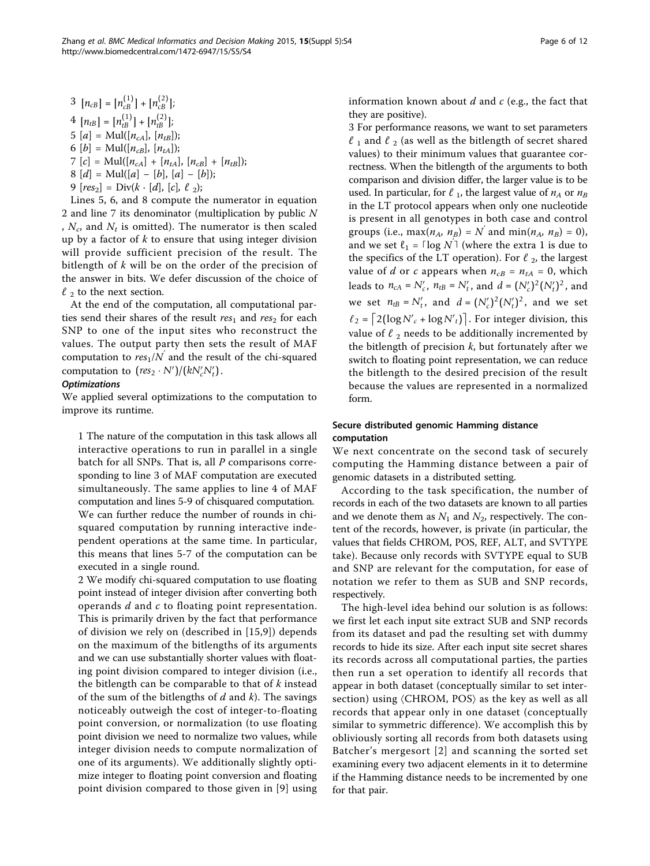3  $[n_{cB}] = [n_{cB}^{(1)}] + [n_{cB}^{(2)}];$  $4[n_{tB}] = [n_{tB}^{(1)}] + [n_{tB}^{(2)}];$ 5 [a] = Mul([ $n_{cA}$ ], [ $n_{tB}$ ]); 6 [b] = Mul([ $n_{cB}$ ], [ $n_{tA}$ ]); 7  $[c] = \text{Mul}([n_{cA}] + [n_{tA}], [n_{cB}] + [n_{tB}])$ ; 8  $[d] = \text{Mul}([a] - [b], [a] - [b])$ ; 9  $[res_2] = Div(k \cdot [d], [c], \ell_2);$ 

Lines 5, 6, and 8 compute the numerator in equation 2 and line 7 its denominator (multiplication by public N ,  $N_c$ , and  $N_t$  is omitted). The numerator is then scaled up by a factor of  $k$  to ensure that using integer division will provide sufficient precision of the result. The bitlength of  $k$  will be on the order of the precision of the answer in bits. We defer discussion of the choice of  $\ell_2$  to the next section.

At the end of the computation, all computational parties send their shares of the result  $res<sub>1</sub>$  and  $res<sub>2</sub>$  for each SNP to one of the input sites who reconstruct the values. The output party then sets the result of MAF computation to  $res_1/N$  and the result of the chi-squared computation to  $(res_2 \cdot N')/(kN_c'N_t')$ .

#### **Optimizations**

We applied several optimizations to the computation to improve its runtime.

1 The nature of the computation in this task allows all interactive operations to run in parallel in a single batch for all SNPs. That is, all  $P$  comparisons corresponding to line 3 of MAF computation are executed simultaneously. The same applies to line 4 of MAF computation and lines 5-9 of chisquared computation. We can further reduce the number of rounds in chisquared computation by running interactive independent operations at the same time. In particular, this means that lines 5-7 of the computation can be executed in a single round.

2 We modify chi-squared computation to use floating point instead of integer division after converting both operands  $d$  and  $c$  to floating point representation. This is primarily driven by the fact that performance of division we rely on (described in [\[15,9](#page-11-0)]) depends on the maximum of the bitlengths of its arguments and we can use substantially shorter values with floating point division compared to integer division (i.e., the bitlength can be comparable to that of  $k$  instead of the sum of the bitlengths of  $d$  and  $k$ ). The savings noticeably outweigh the cost of integer-to-floating point conversion, or normalization (to use floating point division we need to normalize two values, while integer division needs to compute normalization of one of its arguments). We additionally slightly optimize integer to floating point conversion and floating point division compared to those given in [\[9\]](#page-11-0) using information known about  $d$  and  $c$  (e.g., the fact that they are positive).

3 For performance reasons, we want to set parameters  $\ell_1$  and  $\ell_2$  (as well as the bitlength of secret shared values) to their minimum values that guarantee correctness. When the bitlength of the arguments to both comparison and division differ, the larger value is to be used. In particular, for  $\ell_1$ , the largest value of  $n_A$  or  $n_B$ in the LT protocol appears when only one nucleotide is present in all genotypes in both case and control groups (i.e.,  $\max(n_A, n_B) = N'$  and  $\min(n_A, n_B) = 0$ ), and we set  $\ell_1 = \lceil \log N \rceil$  (where the extra 1 is due to the specifics of the LT operation). For  $\ell_2$ , the largest value of *d* or *c* appears when  $n_{cB} = n_{tA} = 0$ , which leads to  $n_{cA} = N'_c$ ,  $n_{tB} = N'_t$ , and  $d = (N'_c)^2 (N'_t)^2$ , and we set  $n_{tB} = N'_t$ , and  $d = (N'_c)^2 (N'_t)^2$ , and we set  $\ell_2 = \left\lceil 2(\log N_c' + \log N_t') \right\rceil$ . For integer division, this value of  $\ell_2$  needs to be additionally incremented by the bitlength of precision  $k$ , but fortunately after we switch to floating point representation, we can reduce the bitlength to the desired precision of the result because the values are represented in a normalized form.

### Secure distributed genomic Hamming distance computation

We next concentrate on the second task of securely computing the Hamming distance between a pair of genomic datasets in a distributed setting.

According to the task specification, the number of records in each of the two datasets are known to all parties and we denote them as  $N_1$  and  $N_2$ , respectively. The content of the records, however, is private (in particular, the values that fields CHROM, POS, REF, ALT, and SVTYPE take). Because only records with SVTYPE equal to SUB and SNP are relevant for the computation, for ease of notation we refer to them as SUB and SNP records, respectively.

The high-level idea behind our solution is as follows: we first let each input site extract SUB and SNP records from its dataset and pad the resulting set with dummy records to hide its size. After each input site secret shares its records across all computational parties, the parties then run a set operation to identify all records that appear in both dataset (conceptually similar to set intersection) using 〈CHROM, POS〉 as the key as well as all records that appear only in one dataset (conceptually similar to symmetric difference). We accomplish this by obliviously sorting all records from both datasets using Batcher's mergesort [[2](#page-11-0)] and scanning the sorted set examining every two adjacent elements in it to determine if the Hamming distance needs to be incremented by one for that pair.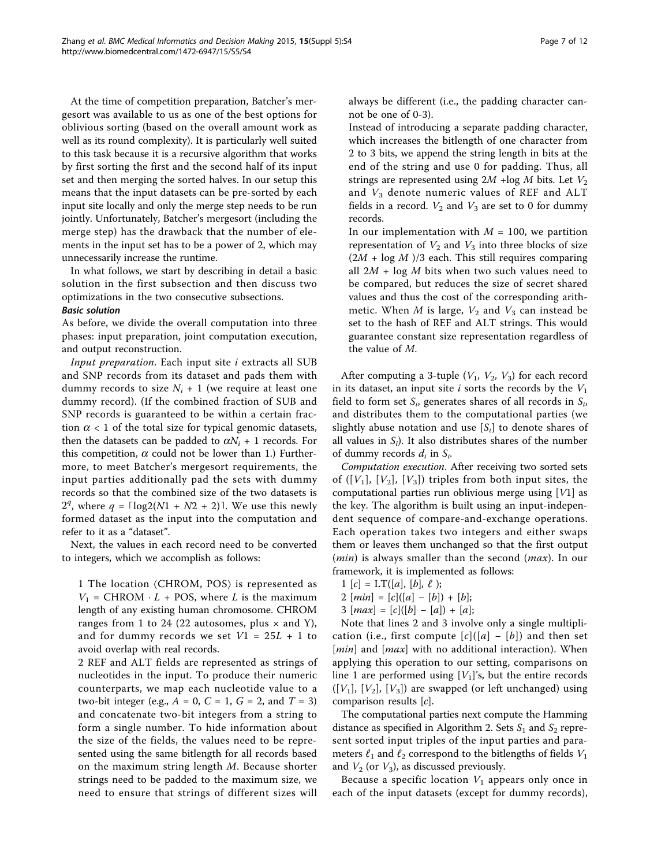At the time of competition preparation, Batcher's mergesort was available to us as one of the best options for oblivious sorting (based on the overall amount work as well as its round complexity). It is particularly well suited to this task because it is a recursive algorithm that works by first sorting the first and the second half of its input set and then merging the sorted halves. In our setup this means that the input datasets can be pre-sorted by each input site locally and only the merge step needs to be run jointly. Unfortunately, Batcher's mergesort (including the merge step) has the drawback that the number of elements in the input set has to be a power of 2, which may unnecessarily increase the runtime.

In what follows, we start by describing in detail a basic solution in the first subsection and then discuss two optimizations in the two consecutive subsections.

#### Basic solution

As before, we divide the overall computation into three phases: input preparation, joint computation execution, and output reconstruction.

Input preparation. Each input site i extracts all SUB and SNP records from its dataset and pads them with dummy records to size  $N_i + 1$  (we require at least one dummy record). (If the combined fraction of SUB and SNP records is guaranteed to be within a certain fraction  $\alpha$  < 1 of the total size for typical genomic datasets, then the datasets can be padded to  $\alpha N_i + 1$  records. For this competition,  $\alpha$  could not be lower than 1.) Furthermore, to meet Batcher's mergesort requirements, the input parties additionally pad the sets with dummy records so that the combined size of the two datasets is  $2^q$ , where  $q = \lceil \log_2(N1 + N2 + 2) \rceil$ . We use this newly formed dataset as the input into the computation and refer to it as a "dataset".

Next, the values in each record need to be converted to integers, which we accomplish as follows:

1 The location 〈CHROM, POS〉 is represented as  $V_1$  = CHROM  $\cdot$  L + POS, where L is the maximum length of any existing human chromosome. CHROM ranges from 1 to 24 (22 autosomes, plus  $\times$  and Y), and for dummy records we set  $V1 = 25L + 1$  to avoid overlap with real records.

2 REF and ALT fields are represented as strings of nucleotides in the input. To produce their numeric counterparts, we map each nucleotide value to a two-bit integer (e.g.,  $A = 0$ ,  $C = 1$ ,  $G = 2$ , and  $T = 3$ ) and concatenate two-bit integers from a string to form a single number. To hide information about the size of the fields, the values need to be represented using the same bitlength for all records based on the maximum string length M. Because shorter strings need to be padded to the maximum size, we need to ensure that strings of different sizes will always be different (i.e., the padding character cannot be one of 0-3).

Instead of introducing a separate padding character, which increases the bitlength of one character from 2 to 3 bits, we append the string length in bits at the end of the string and use 0 for padding. Thus, all strings are represented using  $2M$  +log M bits. Let  $V_2$ and  $V_3$  denote numeric values of REF and ALT fields in a record.  $V_2$  and  $V_3$  are set to 0 for dummy records.

In our implementation with  $M = 100$ , we partition representation of  $V_2$  and  $V_3$  into three blocks of size  $(2M + \log M)/3$  each. This still requires comparing all  $2M$  + log M bits when two such values need to be compared, but reduces the size of secret shared values and thus the cost of the corresponding arithmetic. When M is large,  $V_2$  and  $V_3$  can instead be set to the hash of REF and ALT strings. This would guarantee constant size representation regardless of the value of M.

After computing a 3-tuple  $(V_1, V_2, V_3)$  for each record in its dataset, an input site *i* sorts the records by the  $V_1$ field to form set  $S_i$ , generates shares of all records in  $S_i$ , and distributes them to the computational parties (we slightly abuse notation and use  $[S_i]$  to denote shares of all values in  $S_i$ ). It also distributes shares of the number of dummy records  $d_i$  in  $S_i$ .

Computation execution. After receiving two sorted sets of  $([V_1], [V_2], [V_3])$  triples from both input sites, the computational parties run oblivious merge using [V1] as the key. The algorithm is built using an input-independent sequence of compare-and-exchange operations. Each operation takes two integers and either swaps them or leaves them unchanged so that the first output ( $min$ ) is always smaller than the second ( $max$ ). In our framework, it is implemented as follows:

- $1 [c] = LT([a], [b], \ell);$
- 2  $[min] = [c]([a] [b]) + [b];$
- 3  $[max] = [c]([b] [a]) + [a];$

Note that lines 2 and 3 involve only a single multiplication (i.e., first compute  $[c]([a] - [b])$  and then set [min] and [max] with no additional interaction). When applying this operation to our setting, comparisons on line 1 are performed using  $[V_1]$ 's, but the entire records  $([V_1], [V_2], [V_3])$  are swapped (or left unchanged) using comparison results [c].

The computational parties next compute the Hamming distance as specified in Algorithm 2. Sets  $S_1$  and  $S_2$  represent sorted input triples of the input parties and parameters  $\ell_1$  and  $\ell_2$  correspond to the bitlengths of fields  $V_1$ and  $V_2$  (or  $V_3$ ), as discussed previously.

Because a specific location  $V_1$  appears only once in each of the input datasets (except for dummy records),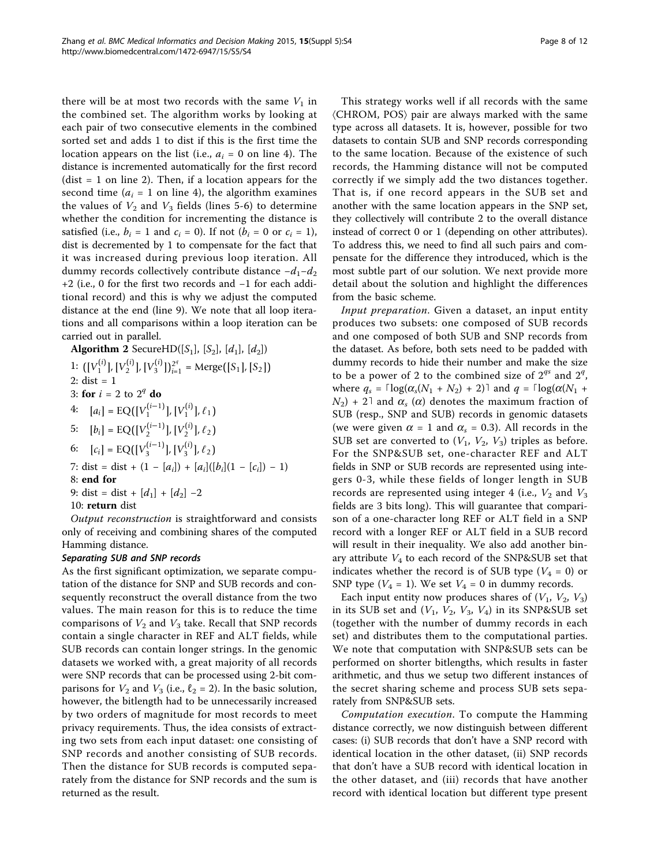there will be at most two records with the same  $V_1$  in the combined set. The algorithm works by looking at each pair of two consecutive elements in the combined sorted set and adds 1 to dist if this is the first time the location appears on the list (i.e.,  $a_i = 0$  on line 4). The distance is incremented automatically for the first record  $dist = 1$  on line 2). Then, if a location appears for the second time  $(a_i = 1 \text{ on line 4})$ , the algorithm examines the values of  $V_2$  and  $V_3$  fields (lines 5-6) to determine whether the condition for incrementing the distance is satisfied (i.e.,  $b_i = 1$  and  $c_i = 0$ ). If not ( $b_i = 0$  or  $c_i = 1$ ), dist is decremented by 1 to compensate for the fact that it was increased during previous loop iteration. All dummy records collectively contribute distance  $-d_1-d_2$ +2 (i.e., 0 for the first two records and −1 for each additional record) and this is why we adjust the computed distance at the end (line 9). We note that all loop iterations and all comparisons within a loop iteration can be carried out in parallel.

**Algorithm 2** SecureHD( $[S_1]$ ,  $[S_2]$ ,  $[d_1]$ ,  $[d_2]$ )

1: 
$$
([V_1^{(i)}], [V_2^{(i)}], [V_3^{(i)}])_{i=1}^{2^d}
$$
 = Merge([S<sub>1</sub>], [S<sub>2</sub>])  
\n2: dist = 1  
\n3: **for**  $i = 2$  to 2<sup>*q*</sup> **do**  
\n4:  $[a_i] = \text{EQ}([V_1^{(i-1)}], [V_1^{(i)}], \ell_1)$   
\n5:  $[b_i] = \text{EQ}([V_2^{(i-1)}], [V_2^{(i)}], \ell_2)$   
\n6:  $[c_i] = \text{EQ}([V_3^{(i-1)}], [V_3^{(i)}], \ell_2)$   
\n7: dist = dist + (1 - [a\_i]) + [a\_i]([b\_i](1 - [c\_i]) - 1)  
\n8: **end for**  
\n9: dist = dist + [d<sub>1</sub>] + [d<sub>2</sub>] -2  
\n10: **return** dist

Output reconstruction is straightforward and consists only of receiving and combining shares of the computed Hamming distance.

#### Separating SUB and SNP records

As the first significant optimization, we separate computation of the distance for SNP and SUB records and consequently reconstruct the overall distance from the two values. The main reason for this is to reduce the time comparisons of  $V_2$  and  $V_3$  take. Recall that SNP records contain a single character in REF and ALT fields, while SUB records can contain longer strings. In the genomic datasets we worked with, a great majority of all records were SNP records that can be processed using 2-bit comparisons for  $V_2$  and  $V_3$  (i.e.,  $\ell_2 = 2$ ). In the basic solution, however, the bitlength had to be unnecessarily increased by two orders of magnitude for most records to meet privacy requirements. Thus, the idea consists of extracting two sets from each input dataset: one consisting of SNP records and another consisting of SUB records. Then the distance for SUB records is computed separately from the distance for SNP records and the sum is returned as the result.

This strategy works well if all records with the same 〈CHROM, POS〉 pair are always marked with the same type across all datasets. It is, however, possible for two datasets to contain SUB and SNP records corresponding to the same location. Because of the existence of such records, the Hamming distance will not be computed correctly if we simply add the two distances together. That is, if one record appears in the SUB set and another with the same location appears in the SNP set, they collectively will contribute 2 to the overall distance instead of correct 0 or 1 (depending on other attributes). To address this, we need to find all such pairs and compensate for the difference they introduced, which is the most subtle part of our solution. We next provide more detail about the solution and highlight the differences from the basic scheme.

Input preparation. Given a dataset, an input entity produces two subsets: one composed of SUB records and one composed of both SUB and SNP records from the dataset. As before, both sets need to be padded with dummy records to hide their number and make the size to be a power of 2 to the combined size of  $2^{qs}$  and  $2^q$ , where  $q_s = \lceil \log(\alpha_s(N_1 + N_2) + 2) \rceil$  and  $q = \lceil \log(\alpha(N_1 + N_2) + 2) \rceil$  $N_2$ ) + 2 $\bar{1}$  and  $\alpha_s$  ( $\alpha$ ) denotes the maximum fraction of SUB (resp., SNP and SUB) records in genomic datasets (we were given  $\alpha = 1$  and  $\alpha_s = 0.3$ ). All records in the SUB set are converted to  $(V_1, V_2, V_3)$  triples as before. For the SNP&SUB set, one-character REF and ALT fields in SNP or SUB records are represented using integers 0-3, while these fields of longer length in SUB records are represented using integer 4 (i.e.,  $V_2$  and  $V_3$ fields are 3 bits long). This will guarantee that comparison of a one-character long REF or ALT field in a SNP record with a longer REF or ALT field in a SUB record will result in their inequality. We also add another binary attribute  $V_4$  to each record of the SNP&SUB set that indicates whether the record is of SUB type ( $V_4$  = 0) or SNP type ( $V_4 = 1$ ). We set  $V_4 = 0$  in dummy records.

Each input entity now produces shares of  $(V_1, V_2, V_3)$ in its SUB set and  $(V_1, V_2, V_3, V_4)$  in its SNP&SUB set (together with the number of dummy records in each set) and distributes them to the computational parties. We note that computation with SNP&SUB sets can be performed on shorter bitlengths, which results in faster arithmetic, and thus we setup two different instances of the secret sharing scheme and process SUB sets separately from SNP&SUB sets.

Computation execution. To compute the Hamming distance correctly, we now distinguish between different cases: (i) SUB records that don't have a SNP record with identical location in the other dataset, (ii) SNP records that don't have a SUB record with identical location in the other dataset, and (iii) records that have another record with identical location but different type present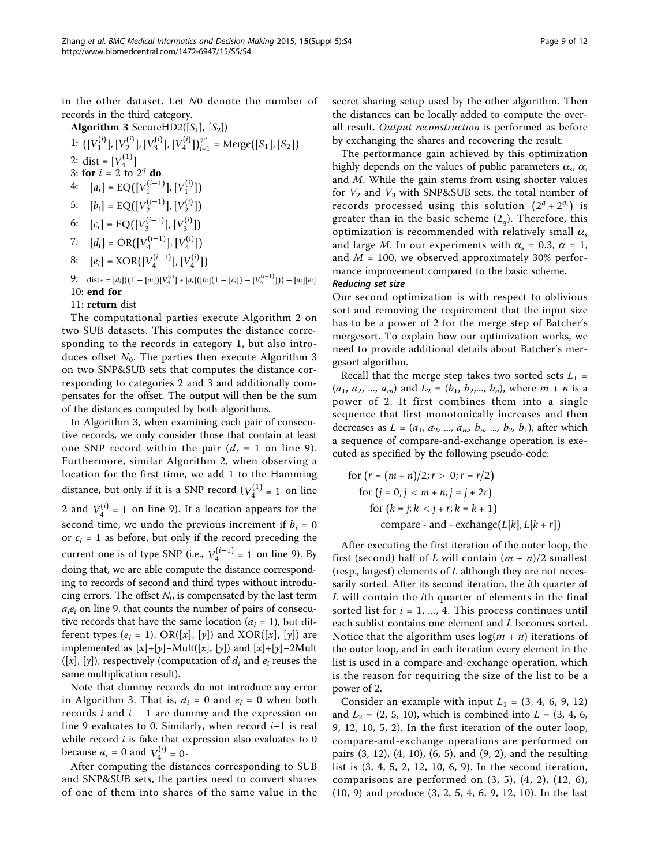in the other dataset. Let N0 denote the number of records in the third category.

Algorithm 3 SecureHD2( $[S_1]$ ,  $[S_2]$ ) 1:  $([V_1^{(i)}], [V_2^{(i)}], [V_3^{(i)}], [V_4^{(i)}]]_{i=1}^{2^q} = \text{Merge}([S_1], [S_2])$ 2: dist =  $[V_4^{(1)}]$ 3: for  $i = 2$  to  $2^q$  do 4:  $[a_i] = \text{EQ}([V_1^{(i-1)}], [V_1^{(i)}])$ 5:  $[b_i] = \text{EQ}([V_2^{(i-1)}], [V_2^{(i)}])$ 6:  $[c_i] = \text{EQ}([V_3^{(i-1)}], [V_3^{(i)}])$ 7:  $[d_i] = OR([V_4^{(i-1)}], [V_4^{(i)}])$ 8:  $[e_i] = XOR([V_4^{(i-1)}], [V_4^{(i)}])$ 9: dist + =  $[d_i]((1 - [a_i])[V_4^{(i)}] + [a_i]([b_i](1 - [c_i]) - [V_4^{(i-1)}])) - [a_i][e_i]$ 

10: end for

#### 11: return dist

The computational parties execute Algorithm 2 on two SUB datasets. This computes the distance corresponding to the records in category 1, but also introduces offset  $N_0$ . The parties then execute Algorithm 3 on two SNP&SUB sets that computes the distance corresponding to categories 2 and 3 and additionally compensates for the offset. The output will then be the sum of the distances computed by both algorithms.

In Algorithm 3, when examining each pair of consecutive records, we only consider those that contain at least one SNP record within the pair  $(d_i = 1 \text{ on line 9}).$ Furthermore, similar Algorithm 2, when observing a location for the first time, we add 1 to the Hamming distance, but only if it is a SNP record  $(V_4^{(1)} = 1)$  on line 2 and  $V_4^{(i)} = 1$  on line 9). If a location appears for the second time, we undo the previous increment if  $b_i = 0$ or  $c_i$  = 1 as before, but only if the record preceding the current one is of type SNP (i.e.,  $V_4^{(i-1)} = 1$  on line 9). By doing that, we are able compute the distance corresponding to records of second and third types without introducing errors. The offset  $N_0$  is compensated by the last term  $a_i e_i$  on line 9, that counts the number of pairs of consecutive records that have the same location  $(a<sub>i</sub> = 1)$ , but different types  $(e_i = 1)$ . OR([x], [y]) and XOR([x], [y]) are implemented as  $[x]+[y]-Mult([x], [y])$  and  $[x]+[y]-2Mult$  $([x], [y])$ , respectively (computation of  $d_i$  and  $e_i$  reuses the same multiplication result).

Note that dummy records do not introduce any error in Algorithm 3. That is,  $d_i = 0$  and  $e_i = 0$  when both records  $i$  and  $i - 1$  are dummy and the expression on line 9 evaluates to 0. Similarly, when record i−1 is real while record  $i$  is fake that expression also evaluates to  $0$ because  $a_i = 0$  and  $V_4^{(i)} = 0$ .

After computing the distances corresponding to SUB and SNP&SUB sets, the parties need to convert shares of one of them into shares of the same value in the secret sharing setup used by the other algorithm. Then the distances can be locally added to compute the overall result. Output reconstruction is performed as before by exchanging the shares and recovering the result.

The performance gain achieved by this optimization highly depends on the values of public parameters  $\alpha_s$ ,  $\alpha$ , and M. While the gain stems from using shorter values for  $V_2$  and  $V_3$  with SNP&SUB sets, the total number of records processed using this solution  $(2^q + 2^{q_s})$  is greater than in the basic scheme  $(2<sub>q</sub>)$ . Therefore, this optimization is recommended with relatively small  $\alpha_s$ and large *M*. In our experiments with  $\alpha_s = 0.3$ ,  $\alpha = 1$ , and  $M = 100$ , we observed approximately 30% performance improvement compared to the basic scheme.

Reducing set size

Our second optimization is with respect to oblivious sort and removing the requirement that the input size has to be a power of 2 for the merge step of Batcher's mergesort. To explain how our optimization works, we need to provide additional details about Batcher's mergesort algorithm.

Recall that the merge step takes two sorted sets  $L_1$  =  $(a_1, a_2, ..., a_m)$  and  $L_2 = (b_1, b_2, ..., b_n)$ , where  $m + n$  is a power of 2. It first combines them into a single sequence that first monotonically increases and then decreases as  $L = (a_1, a_2, ..., a_m, b_n, ..., b_2, b_1)$ , after which a sequence of compare-and-exchange operation is executed as specified by the following pseudo-code:

for 
$$
(r = (m+n)/2; r > 0; r = r/2)
$$
  
for  $(j = 0; j < m + n; j = j + 2r)$   
for  $(k = j; k < j + r; k = k + 1)$   
compare - and - exchange( $L[k], L[k + r]$ )

After executing the first iteration of the outer loop, the first (second) half of L will contain  $(m + n)/2$  smallest (resp., largest) elements of  $L$  although they are not necessarily sorted. After its second iteration, the ith quarter of L will contain the ith quarter of elements in the final sorted list for  $i = 1, ..., 4$ . This process continues until each sublist contains one element and L becomes sorted. Notice that the algorithm uses  $log(m + n)$  iterations of the outer loop, and in each iteration every element in the list is used in a compare-and-exchange operation, which is the reason for requiring the size of the list to be a power of 2.

Consider an example with input  $L_1 = (3, 4, 6, 9, 12)$ and  $L_2 = (2, 5, 10)$ , which is combined into  $L = (3, 4, 6, 10)$ 9, 12, 10, 5, 2). In the first iteration of the outer loop, compare-and-exchange operations are performed on pairs (3, 12), (4, 10), (6, 5), and (9, 2), and the resulting list is (3, 4, 5, 2, 12, 10, 6, 9). In the second iteration, comparisons are performed on  $(3, 5)$ ,  $(4, 2)$ ,  $(12, 6)$ , (10, 9) and produce (3, 2, 5, 4, 6, 9, 12, 10). In the last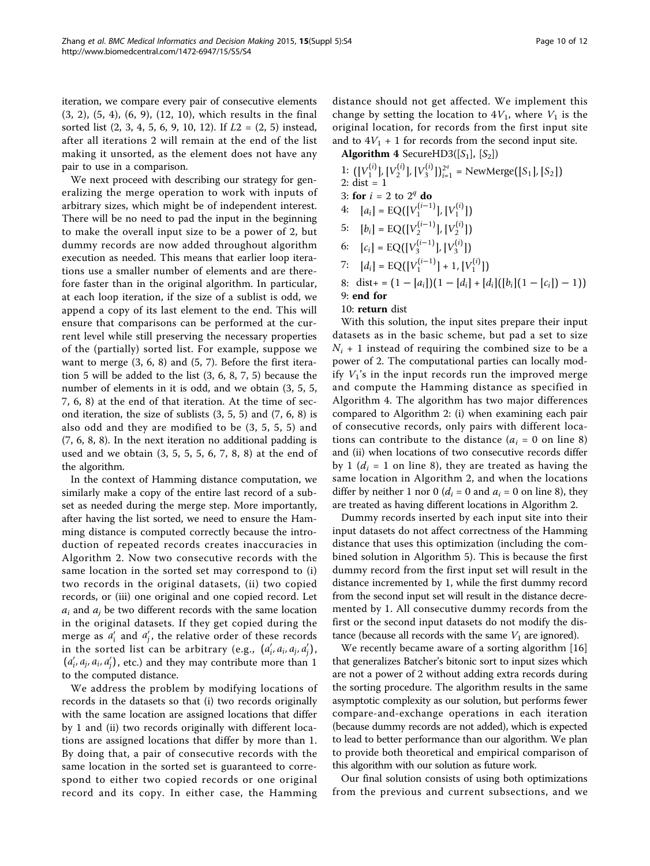iteration, we compare every pair of consecutive elements (3, 2), (5, 4), (6, 9), (12, 10), which results in the final sorted list  $(2, 3, 4, 5, 6, 9, 10, 12)$ . If  $L2 = (2, 5)$  instead, after all iterations 2 will remain at the end of the list making it unsorted, as the element does not have any pair to use in a comparison.

We next proceed with describing our strategy for generalizing the merge operation to work with inputs of arbitrary sizes, which might be of independent interest. There will be no need to pad the input in the beginning to make the overall input size to be a power of 2, but dummy records are now added throughout algorithm execution as needed. This means that earlier loop iterations use a smaller number of elements and are therefore faster than in the original algorithm. In particular, at each loop iteration, if the size of a sublist is odd, we append a copy of its last element to the end. This will ensure that comparisons can be performed at the current level while still preserving the necessary properties of the (partially) sorted list. For example, suppose we want to merge (3, 6, 8) and (5, 7). Before the first iteration 5 will be added to the list (3, 6, 8, 7, 5) because the number of elements in it is odd, and we obtain (3, 5, 5, 7, 6, 8) at the end of that iteration. At the time of second iteration, the size of sublists (3, 5, 5) and (7, 6, 8) is also odd and they are modified to be (3, 5, 5, 5) and (7, 6, 8, 8). In the next iteration no additional padding is used and we obtain (3, 5, 5, 5, 6, 7, 8, 8) at the end of the algorithm.

In the context of Hamming distance computation, we similarly make a copy of the entire last record of a subset as needed during the merge step. More importantly, after having the list sorted, we need to ensure the Hamming distance is computed correctly because the introduction of repeated records creates inaccuracies in Algorithm 2. Now two consecutive records with the same location in the sorted set may correspond to (i) two records in the original datasets, (ii) two copied records, or (iii) one original and one copied record. Let  $a_i$  and  $a_j$  be two different records with the same location in the original datasets. If they get copied during the merge as  $a'_i$  and  $a'_j$ , the relative order of these records in the sorted list can be arbitrary (e.g.,  $(a'_i, a_i, a_j, a'_j)$ ,  $(a'_i, a_j, a_i, a'_j)$ , etc.) and they may contribute more than 1 to the computed distance.

We address the problem by modifying locations of records in the datasets so that (i) two records originally with the same location are assigned locations that differ by 1 and (ii) two records originally with different locations are assigned locations that differ by more than 1. By doing that, a pair of consecutive records with the same location in the sorted set is guaranteed to correspond to either two copied records or one original record and its copy. In either case, the Hamming distance should not get affected. We implement this change by setting the location to  $4V_1$ , where  $V_1$  is the original location, for records from the first input site and to  $4V_1 + 1$  for records from the second input site.

Algorithm 4 SecureHD3( $[S_1]$ ,  $[S_2]$ )

1:  $([V_1^{(i)}], [V_2^{(i)}], [V_3^{(i)}])_{i=1}^{2^q}$  = NewMerge([S<sub>1</sub>], [S<sub>2</sub>]) 2:  $dist = 1$ 3: for  $i = 2$  to  $2<sup>q</sup>$  do 4:  $[a_i] = \text{EQ}([V_1^{(i-1)}], [V_1^{(i)}])$ 5:  $[b_i] = \text{EQ}([V_2^{(i-1)}], [V_2^{(i)}])$ 6:  $[c_i] = \text{EQ}([V_3^{(i-1)}], [V_3^{(i)}])$ 7:  $[d_i] = \text{EQ}([V_1^{(i-1)}] + 1, [V_1^{(i)}])$ 8: dist+ =  $(1 - [a_i])(1 - [d_i] + [d_i]([b_i](1 - [c_i])) - 1)$ 9: end for

#### 10: return dist

With this solution, the input sites prepare their input datasets as in the basic scheme, but pad a set to size  $N_i + 1$  instead of requiring the combined size to be a power of 2. The computational parties can locally modify  $V_1$ 's in the input records run the improved merge and compute the Hamming distance as specified in Algorithm 4. The algorithm has two major differences compared to Algorithm 2: (i) when examining each pair of consecutive records, only pairs with different locations can contribute to the distance  $(a_i = 0 \text{ on line } 8)$ and (ii) when locations of two consecutive records differ by 1 ( $d_i = 1$  on line 8), they are treated as having the same location in Algorithm 2, and when the locations differ by neither 1 nor 0 ( $d_i = 0$  and  $a_i = 0$  on line 8), they are treated as having different locations in Algorithm 2.

Dummy records inserted by each input site into their input datasets do not affect correctness of the Hamming distance that uses this optimization (including the combined solution in Algorithm 5). This is because the first dummy record from the first input set will result in the distance incremented by 1, while the first dummy record from the second input set will result in the distance decremented by 1. All consecutive dummy records from the first or the second input datasets do not modify the distance (because all records with the same  $V_1$  are ignored).

We recently became aware of a sorting algorithm [\[16](#page-11-0)] that generalizes Batcher's bitonic sort to input sizes which are not a power of 2 without adding extra records during the sorting procedure. The algorithm results in the same asymptotic complexity as our solution, but performs fewer compare-and-exchange operations in each iteration (because dummy records are not added), which is expected to lead to better performance than our algorithm. We plan to provide both theoretical and empirical comparison of this algorithm with our solution as future work.

Our final solution consists of using both optimizations from the previous and current subsections, and we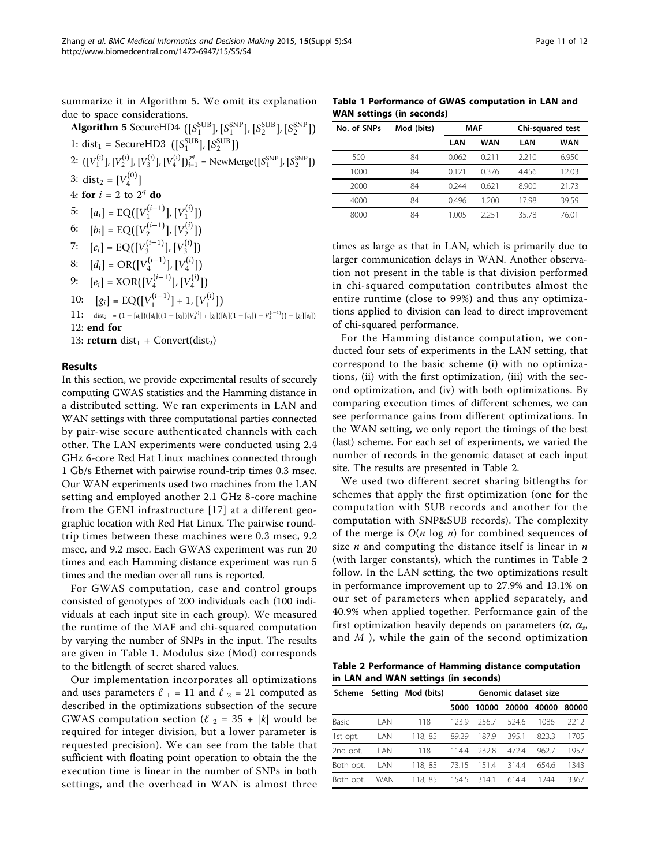summarize it in Algorithm 5. We omit its explanation due to space considerations.

**Algorithm 5** SecureHD4 ( $[S_1^{\text{SUB}}], [S_1^{\text{SNP}}], [S_2^{\text{SUB}}], [S_2^{\text{SNP}}]$ ) 1: dist<sub>1</sub> = SecureHD3  $([S_1^{\text{SUB}}], [S_2^{\text{SUB}}])$ 2:  $([V_1^{(i)}], [V_2^{(i)}], [V_3^{(i)}], [V_4^{(i)}])_{i=1}^{2^q} = \text{NewMerge}([S_1^{\text{SNP}}], [S_2^{\text{SNP}}])$ 3: dist<sub>2</sub> =  $[V_4^{(0)}]$ 4: for  $i = 2$  to  $2<sup>q</sup>$  do 5:  $[a_i] = \text{EQ}([V_1^{(i-1)}], [V_1^{(i)}])$ 6:  $[b_i] = \text{EQ}([V_2^{(i-1)}], [V_2^{(i)}])$ 7:  $[c_i] = \text{EQ}([V_3^{(i-1)}], [V_3^{(i)}])$ 8:  $[d_i] = OR([V_4^{(i-1)}], [V_4^{(i)}])$ 9:  $[e_i] = XOR([V_4^{(i-1)}], [V_4^{(i)}])$ 10:  $[g_i] = \text{EQ}([V_1^{(i-1)}] + 1, [V_1^{(i)}])$ 11: dist<sub>2</sub>+ = (1 – [*a<sub>i</sub>*])([*d<sub>i</sub>*]((1 – [*g<sub>i</sub>*])[ $V_4^{(i)}$ ] + [*g<sub>i</sub>*]([*b<sub>i</sub>*](1 – [*c<sub>i</sub>*]) –  $V_4^{(i-1)}$ )) – [*g<sub>i</sub>*][ $e_i$ ]) 12: end for 13: **return** dist<sub>1</sub> + Convert(dist<sub>2</sub>)

#### Results

In this section, we provide experimental results of securely computing GWAS statistics and the Hamming distance in a distributed setting. We ran experiments in LAN and WAN settings with three computational parties connected by pair-wise secure authenticated channels with each other. The LAN experiments were conducted using 2.4 GHz 6-core Red Hat Linux machines connected through 1 Gb/s Ethernet with pairwise round-trip times 0.3 msec. Our WAN experiments used two machines from the LAN setting and employed another 2.1 GHz 8-core machine from the GENI infrastructure [[17](#page-11-0)] at a different geographic location with Red Hat Linux. The pairwise roundtrip times between these machines were 0.3 msec, 9.2 msec, and 9.2 msec. Each GWAS experiment was run 20 times and each Hamming distance experiment was run 5 times and the median over all runs is reported.

For GWAS computation, case and control groups consisted of genotypes of 200 individuals each (100 individuals at each input site in each group). We measured the runtime of the MAF and chi-squared computation by varying the number of SNPs in the input. The results are given in Table 1. Modulus size (Mod) corresponds to the bitlength of secret shared values.

Our implementation incorporates all optimizations and uses parameters  $\ell_1 = 11$  and  $\ell_2 = 21$  computed as described in the optimizations subsection of the secure GWAS computation section ( $\ell_2 = 35 + |k|$  would be required for integer division, but a lower parameter is requested precision). We can see from the table that sufficient with floating point operation to obtain the the execution time is linear in the number of SNPs in both settings, and the overhead in WAN is almost three

Table 1 Performance of GWAS computation in LAN and WAN settings (in seconds)

| No. of SNPs | Mod (bits) | <b>MAF</b> |       | Chi-squared test |       |
|-------------|------------|------------|-------|------------------|-------|
|             |            | LAN        | WAN   | LAN              | WAN   |
| 500         | 84         | 0.062      | 0.211 | 2.210            | 6.950 |
| 1000        | 84         | 0.121      | 0.376 | 4.456            | 12.03 |
| 2000        | 84         | 0.244      | 0.621 | 8.900            | 21.73 |
| 4000        | 84         | 0.496      | 1.200 | 17.98            | 39.59 |
| 8000        | 84         | 1.005      | 2.251 | 35.78            | 76.01 |

times as large as that in LAN, which is primarily due to larger communication delays in WAN. Another observation not present in the table is that division performed in chi-squared computation contributes almost the entire runtime (close to 99%) and thus any optimizations applied to division can lead to direct improvement of chi-squared performance.

For the Hamming distance computation, we conducted four sets of experiments in the LAN setting, that correspond to the basic scheme (i) with no optimizations, (ii) with the first optimization, (iii) with the second optimization, and (iv) with both optimizations. By comparing execution times of different schemes, we can see performance gains from different optimizations. In the WAN setting, we only report the timings of the best (last) scheme. For each set of experiments, we varied the number of records in the genomic dataset at each input site. The results are presented in Table 2.

We used two different secret sharing bitlengths for schemes that apply the first optimization (one for the computation with SUB records and another for the computation with SNP&SUB records). The complexity of the merge is  $O(n \log n)$  for combined sequences of size  $n$  and computing the distance itself is linear in  $n$ (with larger constants), which the runtimes in Table 2 follow. In the LAN setting, the two optimizations result in performance improvement up to 27.9% and 13.1% on our set of parameters when applied separately, and 40.9% when applied together. Performance gain of the first optimization heavily depends on parameters ( $\alpha$ ,  $\alpha_s$ , and  $M$ ), while the gain of the second optimization

Table 2 Performance of Hamming distance computation in LAN and WAN settings (in seconds)

| Scheme       | Setting | Mod (bits) | Genomic dataset size |       |       |       |       |
|--------------|---------|------------|----------------------|-------|-------|-------|-------|
|              |         |            | 5000                 | 10000 | 20000 | 40000 | 80000 |
| <b>Basic</b> | I AN    | 118        | 1239                 | 256.7 | 524.6 | 1086  | 2212  |
| 1st opt.     | I AN    | 118, 85    | 89.29                | 187.9 | 395.1 | 823.3 | 1705  |
| 2nd opt.     | I AN    | 118        | 1144                 | 2328  | 4724  | 962.7 | 1957  |
| Both opt.    | lan     | 118, 85    | 73.15                | 151.4 | 314.4 | 654.6 | 1343  |
| Both opt.    | WAN     | 118, 85    | 1545                 | 314.1 | 614.4 | 1244  | 3367  |